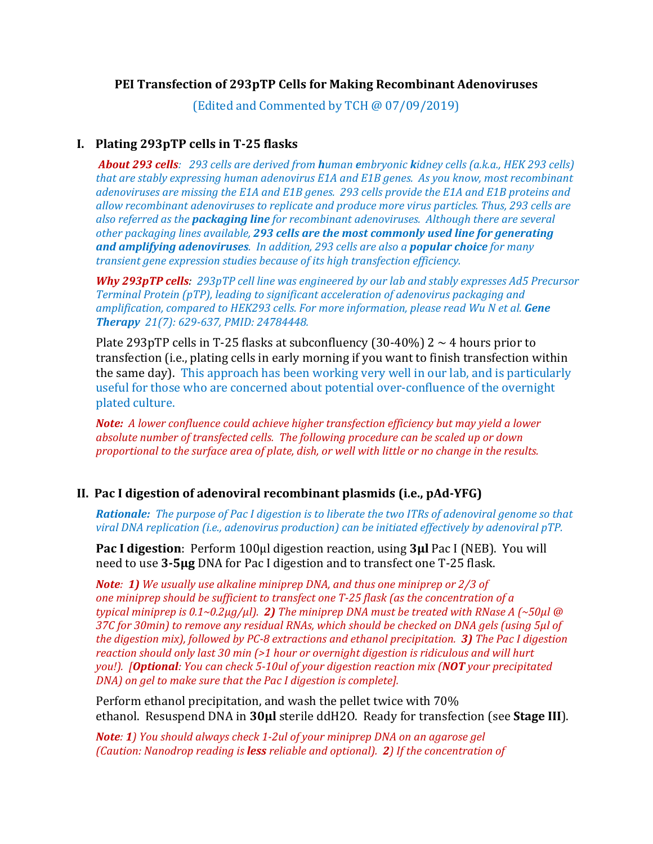### **PEI Transfection of 293pTP Cells for Making Recombinant Adenoviruses**

(Edited and Commented by TCH @ 07/09/2019)

## **I. Plating 293pTP cells in T‐25 flasks**

**About 293 cells**: 293 cells are derived from human embryonic kidney cells (a.k.a., HEK 293 cells) *that are stably expressing human adenovirus E1A and E1B genes. As you know, most recombinant adenoviruses are missing the E1A and E1B genes. 293 cells provide the E1A and E1B proteins and allow recombinant adenoviruses to replicate and produce more virus particles. Thus, 293 cells are also referred as the packaging line for recombinant adenoviruses. Although there are several other packaging lines available, 293 cells are the most commonly used line for generating and amplifying adenoviruses. In addition, 293 cells are also a popular choice for many transient gene expression studies because of its high transfection efficiency.*

*Why 293pTP cells: 293pTP cell line was engineered by our lab and stably expresses Ad5 Precursor Terminal Protein (pTP), leading to significant acceleration of adenovirus packaging and amplification, compared to HEK293 cells. For more information, please read Wu N et al. Gene Therapy 21(7): 629‐637, PMID: 24784448.*

Plate 293pTP cells in T-25 flasks at subconfluency (30-40%)  $2 \sim 4$  hours prior to transfection (i.e., plating cells in early morning if you want to finish transfection within the same day). This approach has been working very well in our lab, and is particularly useful for those who are concerned about potential over-confluence of the overnight plated culture.

*Note: A lower confluence could achieve higher transfection efficiency but may yield a lower absolute number of transfected cells. The following procedure can be scaled up or down proportional to the surface area of plate, dish, or well with little or no change in the results.*

## **II. Pac I digestion of adenoviral recombinant plasmids (i.e., pAd‐YFG)**

**Rationale:** The purpose of Pac I digestion is to liberate the two ITRs of adenoviral genome so that *viral DNA replication (i.e., adenovirus production) can be initiated effectively by adenoviral pTP.*

**Pac I digestion**: Perform 100µl digestion reaction, using **3µl** Pac I (NEB). You will need to use **3‐5µg** DNA for Pac I digestion and to transfect one T-25 flask.

*Note: 1) We usually use alkaline miniprep DNA, and thus one miniprep or 2/3 of one miniprep should be sufficient to transfect one T‐25 flask (as the concentration of a typical miniprep is*  $0.1 \sim 0.2 \mu g / \mu$ . *2) The miniprep DNA must be treated with RNase A (~50* $\mu$ *l @ 37C for 30min) to remove any residual RNAs, which should be checked on DNA gels (using 5µl of* the digestion mix), followed by PC-8 extractions and ethanol precipitation. 3) The Pac I digestion *reaction should only last 30 min (>1 hour or overnight digestion is ridiculous and will hurt* you!). **[Optional:** You can check 5-10ul of your digestion reaction mix (NOT your precipitated *DNA) on gel to make sure that the Pac I digestion is complete].* 

Perform ethanol precipitation, and wash the pellet twice with 70% ethanol. Resuspend DNA in **30µl** sterile ddH2O. Ready for transfection (see **Stage III**).

*Note: 1) You should always check 1‐2ul of your miniprep DNA on an agarose gel (Caution: Nanodrop reading is less reliable and optional). 2) If the concentration of*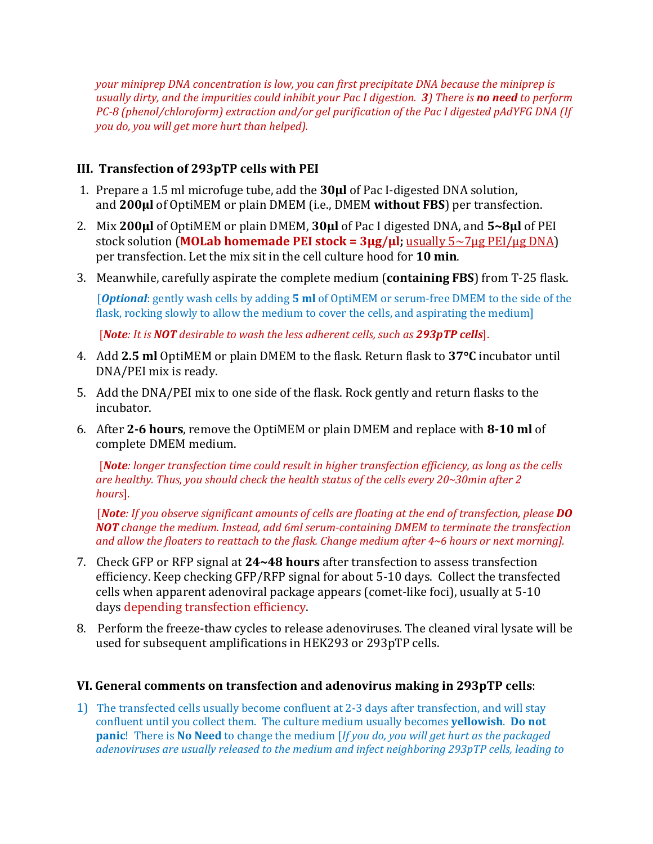*your miniprep DNA concentration is low, you can first precipitate DNA because the miniprep is* usually dirty, and the impurities could inhibit your Pac I digestion. 3) There is no need to perform *PC‐8 (phenol/chloroform) extraction and/or gel purification of the Pac I digested pAdYFG DNA (If you do, you will get more hurt than helped).* 

# **III. Transfection of 293pTP cells with PEI**

- 1. Prepare a 1.5 ml microfuge tube, add the **30µl** of Pac I-digested DNA solution, and **200µl** of OptiMEM or plain DMEM (i.e., DMEM **without FBS**) per transfection.
- 2. Mix **200µl** of OptiMEM or plain DMEM, **30µl** of Pac I digested DNA, and **5~8µl** of PEI stock solution (**MOLab homemade PEI stock = 3µg/µl;** usually 5~7µg PEI/µg DNA) per transfection. Let the mix sit in the cell culture hood for **10 min**.
- 3. Meanwhile, carefully aspirate the complete medium (**containing FBS**) from T-25 flask.

 [*Optional*: gently wash cells by adding **5 ml** of OptiMEM or serum-free DMEM to the side of the flask, rocking slowly to allow the medium to cover the cells, and aspirating the medium]

[*Note: It is NOT desirable to wash the less adherent cells, such as 293pTP cells*].

- 4. Add **2.5 ml** OptiMEM or plain DMEM to the flask. Return flask to **37C** incubator until DNA/PEI mix is ready.
- 5. Add the DNA/PEI mix to one side of the flask. Rock gently and return flasks to the incubator.
- 6. After **2‐6 hours**, remove the OptiMEM or plain DMEM and replace with **8‐10 ml** of complete DMEM medium.

 [*Note: longer transfection time could result in higher transfection efficiency, as long as the cells are healthy. Thus, you should check the health status of the cells every 20~30min after 2 hours*].

[Note: If you observe significant amounts of cells are floating at the end of transfection, please  $D0$ *NOT change the medium. Instead, add 6ml serum‐containing DMEM to terminate the transfection and allow the floaters to reattach to the flask. Change medium after 4~6 hours or next morning].*

- 7. Check GFP or RFP signal at **24~48 hours** after transfection to assess transfection efficiency. Keep checking GFP/RFP signal for about 5-10 days. Collect the transfected cells when apparent adenoviral package appears (comet-like foci), usually at 5-10 days depending transfection efficiency.
- 8. Perform the freeze-thaw cycles to release adenoviruses. The cleaned viral lysate will be used for subsequent amplifications in HEK293 or 293pTP cells.

## **VI. General comments on transfection and adenovirus making in 293pTP cells**:

1) The transfected cells usually become confluent at 2-3 days after transfection, and will stay confluent until you collect them. The culture medium usually becomes **yellowish**. **Do not panic**! There is **No Need** to change the medium [*If you do, you will get hurt as the packaged adenoviruses are usually released to the medium and infect neighboring 293pTP cells, leading to*